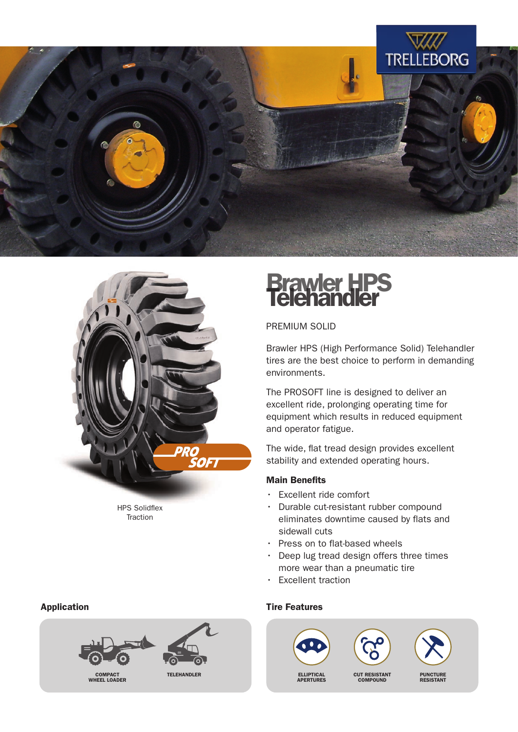



HPS Solidflex **Traction** 

# **Brawler HPS<br>Telehandler**

PREMIUM SOLID

Brawler HPS (High Performance Solid) Telehandler tires are the best choice to perform in demanding environments.

The PROSOFT line is designed to deliver an excellent ride, prolonging operating time for equipment which results in reduced equipment and operator fatigue.

The wide, flat tread design provides excellent stability and extended operating hours.

#### Main Benefits

- Excellent ride comfort
- Durable cut-resistant rubber compound eliminates downtime caused by flats and sidewall cuts
- Press on to flat-based wheels
- Deep lug tread design offers three times more wear than a pneumatic tire
- Excellent traction



#### Application **Application Application Tire Features**